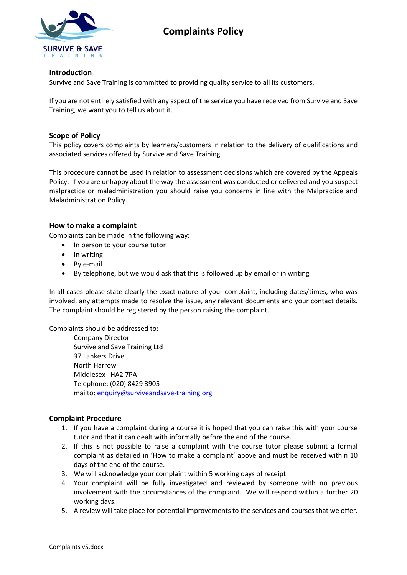



## **Introduction**

Survive and Save Training is committed to providing quality service to all its customers.

If you are not entirely satisfied with any aspect of the service you have received from Survive and Save Training, we want you to tell us about it.

## **Scope of Policy**

This policy covers complaints by learners/customers in relation to the delivery of qualifications and associated services offered by Survive and Save Training.

This procedure cannot be used in relation to assessment decisions which are covered by the Appeals Policy. If you are unhappy about the way the assessment was conducted or delivered and you suspect malpractice or maladministration you should raise you concerns in line with the Malpractice and Maladministration Policy.

## **How to make a complaint**

Complaints can be made in the following way:

- In person to your course tutor
- In writing
- By e-mail
- By telephone, but we would ask that this is followed up by email or in writing

In all cases please state clearly the exact nature of your complaint, including dates/times, who was involved, any attempts made to resolve the issue, any relevant documents and your contact details. The complaint should be registered by the person raising the complaint.

Complaints should be addressed to:

Company Director Survive and Save Training Ltd 37 Lankers Drive North Harrow Middlesex HA2 7PA Telephone: (020) 8429 3905 mailto: [enquiry@surviveandsave-training.org](mailto:enquiry@surviveandsave-training.org)

## **Complaint Procedure**

- 1. If you have a complaint during a course it is hoped that you can raise this with your course tutor and that it can dealt with informally before the end of the course.
- 2. If this is not possible to raise a complaint with the course tutor please submit a formal complaint as detailed in 'How to make a complaint' above and must be received within 10 days of the end of the course.
- 3. We will acknowledge your complaint within 5 working days of receipt.
- 4. Your complaint will be fully investigated and reviewed by someone with no previous involvement with the circumstances of the complaint. We will respond within a further 20 working days.
- 5. A review will take place for potential improvements to the services and courses that we offer.